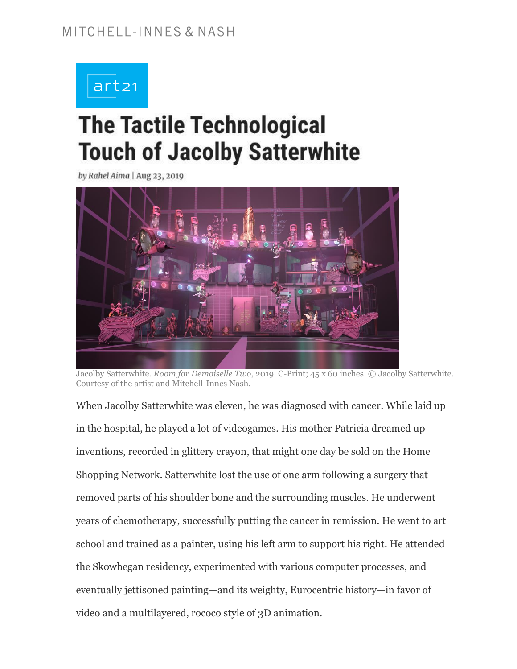# art21

# **The Tactile Technological Touch of Jacolby Satterwhite**

by Rahel Aima | Aug 23, 2019



Jacolby Satterwhite. *Room for Demoiselle Two*, 2019. C-Print; 45 x 60 inches. © Jacolby Satterwhite. Courtesy of the artist and Mitchell-Innes Nash.

When Jacolby Satterwhite was eleven, he was diagnosed with cancer. While laid up in the hospital, he played a lot of videogames. His mother Patricia dreamed up inventions, recorded in glittery crayon, that might one day be sold on the Home Shopping Network. Satterwhite lost the use of one arm following a surgery that removed parts of his shoulder bone and the surrounding muscles. He underwent years of chemotherapy, successfully putting the cancer in remission. He went to art school and trained as a painter, using his left arm to support his right. He attended the Skowhegan residency, experimented with various computer processes, and eventually jettisoned painting—and its weighty, Eurocentric history—in favor of video and a multilayered, rococo style of 3D animation.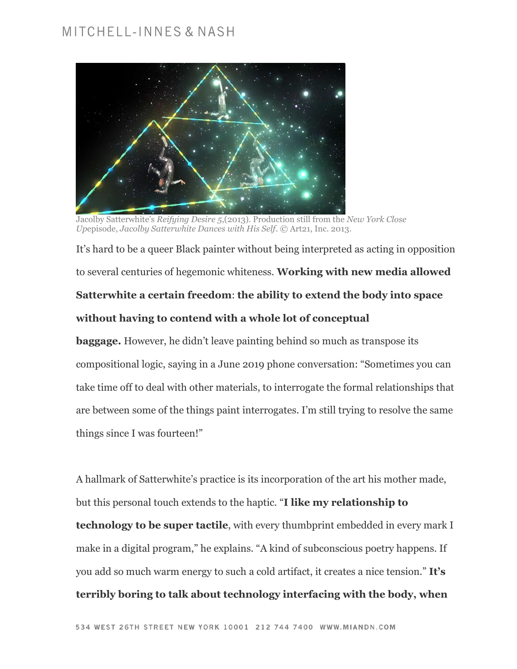

Jacolby Satterwhite's *Reifying Desire 5*,(2013). Production still from the *New York Close Up*episode, *Jacolby Satterwhite Dances with His Self*. © Art21, Inc. 2013.

It's hard to be a queer Black painter without being interpreted as acting in opposition to several centuries of hegemonic whiteness. **Working with new media allowed Satterwhite a certain freedom**: **the ability to extend the body into space without having to contend with a whole lot of conceptual** 

**baggage.** However, he didn't leave painting behind so much as transpose its compositional logic, saying in a June 2019 phone conversation: "Sometimes you can take time off to deal with other materials, to interrogate the formal relationships that are between some of the things paint interrogates. I'm still trying to resolve the same things since I was fourteen!"

A hallmark of Satterwhite's practice is its incorporation of the art his mother made, but this personal touch extends to the haptic. "**I like my relationship to technology to be super tactile**, with every thumbprint embedded in every mark I make in a digital program," he explains. "A kind of subconscious poetry happens. If you add so much warm energy to such a cold artifact, it creates a nice tension." **It's terribly boring to talk about technology interfacing with the body, when**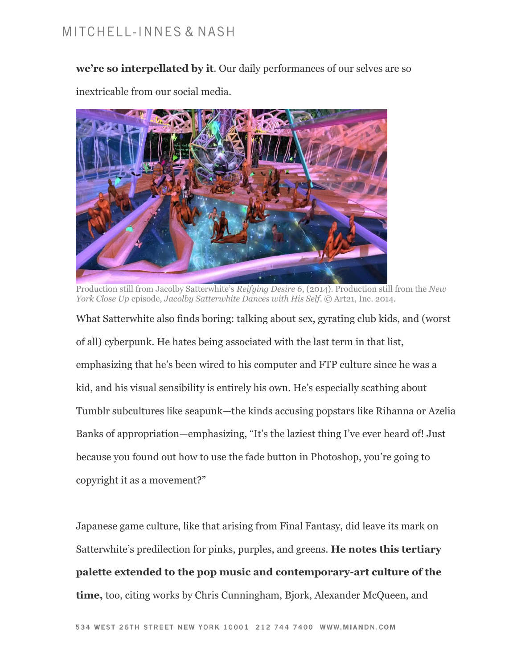**we're so interpellated by it**. Our daily performances of our selves are so

inextricable from our social media.



Production still from Jacolby Satterwhite's *Reifying Desire 6*, (2014). Production still from the *New York Close Up* episode, *Jacolby Satterwhite Dances with His Self*. © Art21, Inc. 2014.

What Satterwhite also finds boring: talking about sex, gyrating club kids, and (worst of all) cyberpunk. He hates being associated with the last term in that list, emphasizing that he's been wired to his computer and FTP culture since he was a kid, and his visual sensibility is entirely his own. He's especially scathing about Tumblr subcultures like seapunk—the kinds accusing popstars like Rihanna or Azelia Banks of appropriation—emphasizing, "It's the laziest thing I've ever heard of! Just because you found out how to use the fade button in Photoshop, you're going to copyright it as a movement?"

Japanese game culture, like that arising from Final Fantasy, did leave its mark on Satterwhite's predilection for pinks, purples, and greens. **He notes this tertiary palette extended to the pop music and contemporary-art culture of the time,** too, citing works by Chris Cunningham, Bjork, Alexander McQueen, and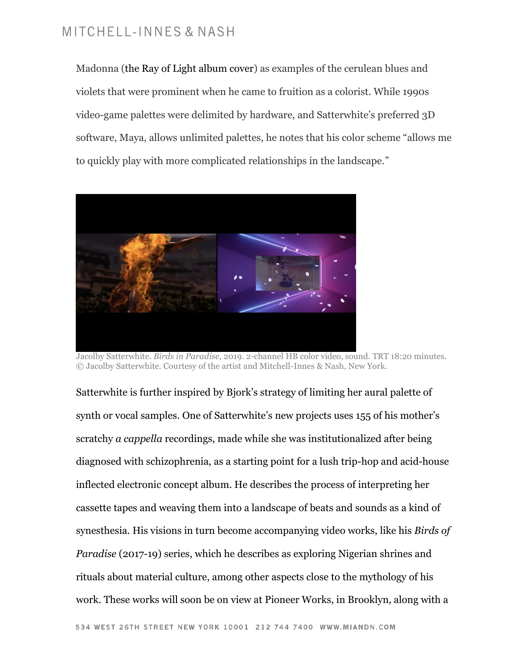Madonna [\(the Ray of Light album cover\)](https://pitchfork.com/reviews/albums/madonna-ray-of-light/) as examples of the cerulean blues and violets that were prominent when he came to fruition as a colorist. While 1990s video-game palettes were delimited by hardware, and Satterwhite's preferred 3D software, Maya, allows unlimited palettes, he notes that his color scheme "allows me to quickly play with more complicated relationships in the landscape."



Jacolby Satterwhite. *Birds in Paradise*, 2019. 2-channel HB color video, sound. TRT 18:20 minutes. © Jacolby Satterwhite. Courtesy of the artist and Mitchell-Innes & Nash, New York.

Satterwhite is further inspired by [Bjork](https://www.npr.org/artists/15191158/bjork)'s strategy of limiting her aural palette of synth or vocal samples. One of Satterwhite's new projects uses 155 of his mother's scratchy *a cappella* recordings, made while she was institutionalized after being diagnosed with schizophrenia, as a starting point for a lush trip-hop and acid-house inflected electronic concept album. He describes the process of interpreting her cassette tapes and weaving them into a landscape of beats and sounds as a kind of synesthesia. His visions in turn become accompanying video works, like his *[Birds of](https://www.miandn.com/art-fairs/art-basel-2019-unlimited/installation-views?view=thumbnails)  [Paradise](https://www.miandn.com/art-fairs/art-basel-2019-unlimited/installation-views?view=thumbnails)* (2017-19) series, which he describes as exploring Nigerian shrines and rituals about material culture, among other aspects close to the mythology of his work. These works will soon be on view at [Pioneer Works,](https://pioneerworks.org/exhibitions/jacolby-satterwhite-youre-at-home/) in Brooklyn, along with a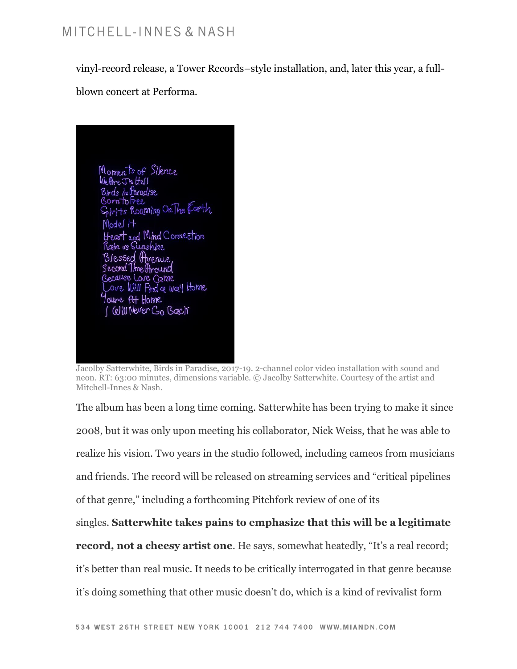vinyl-record release, a Tower Records–style installation, and, later this year, a full-

blown concert at [Performa.](https://www.performa-arts.org/)



Jacolby Satterwhite, Birds in Paradise, 2017-19. 2-channel color video installation with sound and neon. RT: 63:00 minutes, dimensions variable. © Jacolby Satterwhite. Courtesy of the artist and Mitchell-Innes & Nash.

The album has been a long time coming. Satterwhite has been trying to make it since 2008, but it was only upon meeting his collaborator, Nick Weiss, that he was able to realize his vision. Two years in the studio followed, including cameos from musicians and friends. The record will be released on streaming services and "critical pipelines of that genre," including a forthcoming Pitchfork review of one of its

singles. **Satterwhite takes pains to emphasize that this will be a legitimate** 

**record, not a cheesy artist one.** He says, somewhat heatedly, "It's a real record;

it's better than real music. It needs to be critically interrogated in that genre because

it's doing something that other music doesn't do, which is a kind of revivalist form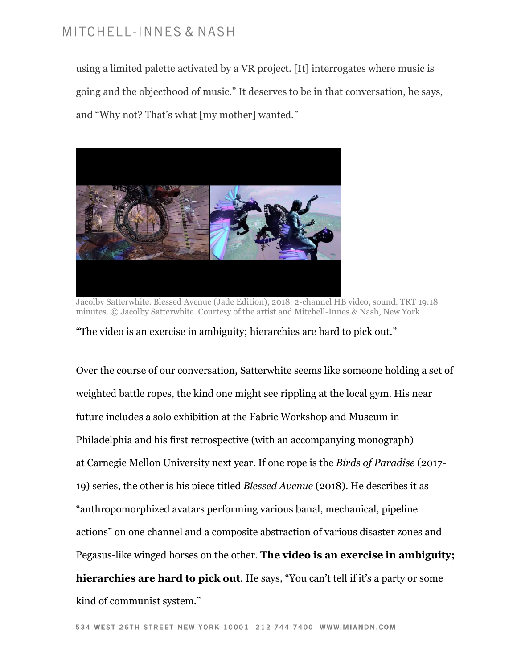using a limited palette activated by a VR project. [It] interrogates where music is going and the objecthood of music." It deserves to be in that conversation, he says, and "Why not? That's what [my mother] wanted."



Jacolby Satterwhite. Blessed Avenue (Jade Edition), 2018. 2-channel HB video, sound. TRT 19:18 minutes. © Jacolby Satterwhite. Courtesy of the artist and Mitchell-Innes & Nash, New York

"The video is an exercise in ambiguity; hierarchies are hard to pick out."

Over the course of our conversation, Satterwhite seems like someone holding a set of weighted battle ropes, the kind one might see rippling at the local gym. His near future includes a solo exhibition at the [Fabric Workshop and Museum](http://fabricworkshopandmuseum.org/Exhibitions/ExhibitionDetail.aspx?ExhibitionId=37032668-a0a7-48e4-93f7-54c1eef59230) in Philadelphia and his first retrospective (with an accompanying monograph) at [Carnegie Mellon University](https://ideate.cmu.edu/) next year. If one rope is the *Birds of Paradise* (2017- 19) series, the other is his piece titled *Blessed Avenue* (2018). He describes it as "anthropomorphized avatars performing various banal, mechanical, pipeline actions" on one channel and a composite abstraction of various disaster zones and Pegasus-like winged horses on the other. **The video is an exercise in ambiguity; hierarchies are hard to pick out**. He says, "You can't tell if it's a party or some kind of communist system."